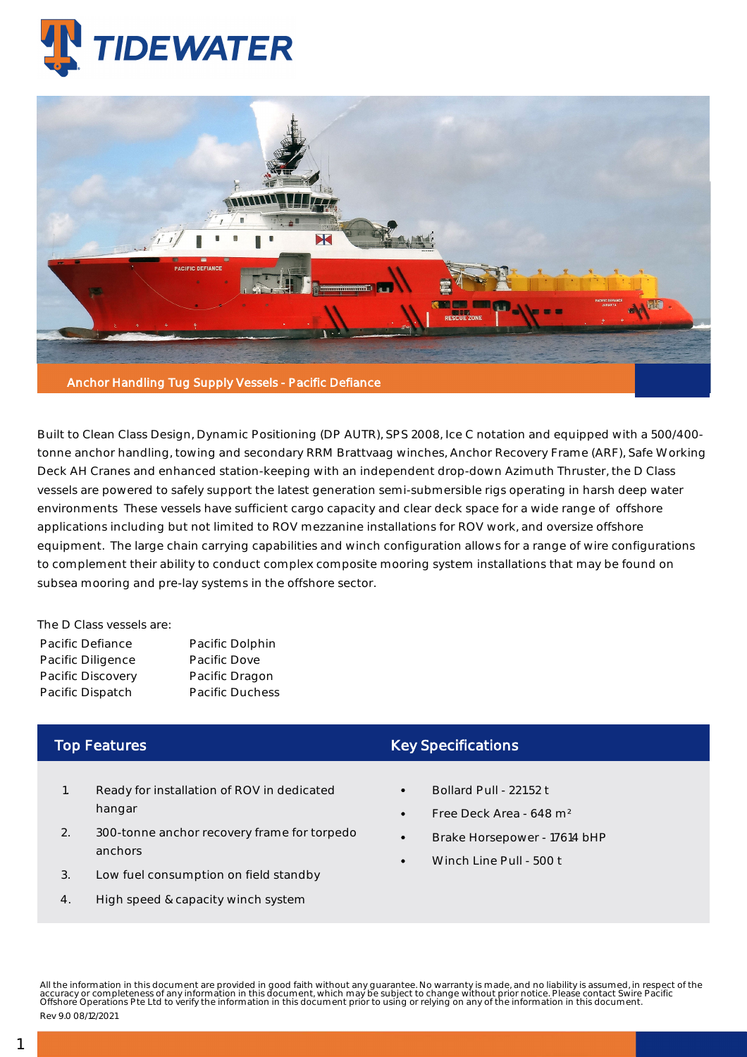



Built to Clean Class Design, Dynamic Positioning (DP AUTR), SPS 2008, Ice C notation and equipped with a 500/400 tonne anchor handling, towing and secondary RRM Brattvaag winches, Anchor Recovery Frame (ARF), Safe Working Deck AH Cranes and enhanced station-keeping with an independent drop-down Azimuth Thruster, the D Class vessels are powered to safely support the latest generation semi-submersible rigs operating in harsh deep water environments These vessels have sufficient cargo capacity and clear deck space for a wide range of offshore applications including but not limited to ROV mezzanine installations for ROV work, and oversize offshore equipment. The large chain carrying capabilities and winch configuration allows for a range of wire configurations to complement their ability to conduct complex composite mooring system installations that may be found on subsea mooring and pre-lay systems in the offshore sector.

The D Class vessels are:

| Pacific Defiance  | Pacific Dolphin        |
|-------------------|------------------------|
| Pacific Diligence | Pacific Dove           |
| Pacific Discovery | Pacific Dragon         |
| Pacific Dispatch  | <b>Pacific Duchess</b> |

## Top Features

- 1. Ready for installation of ROV in dedicated hangar
- 2. 300-tonne anchor recovery frame for torpedo anchors
- 3. Low fuel consumption on field standby
- 4. High speed & capacity winch system

## Key Specifications

- Bollard Pull 221.52 t
- Free Deck Area 648 m²
- Brake Horsepower 17614 bHP
- Winch Line Pull 500 t

All the information in this document are provided in good faith without any guarantee. No warranty is made, and no liability is assumed, in respect of the<br>accuracy or completeness of any information in this document, which Rev 9.0 08/12/2021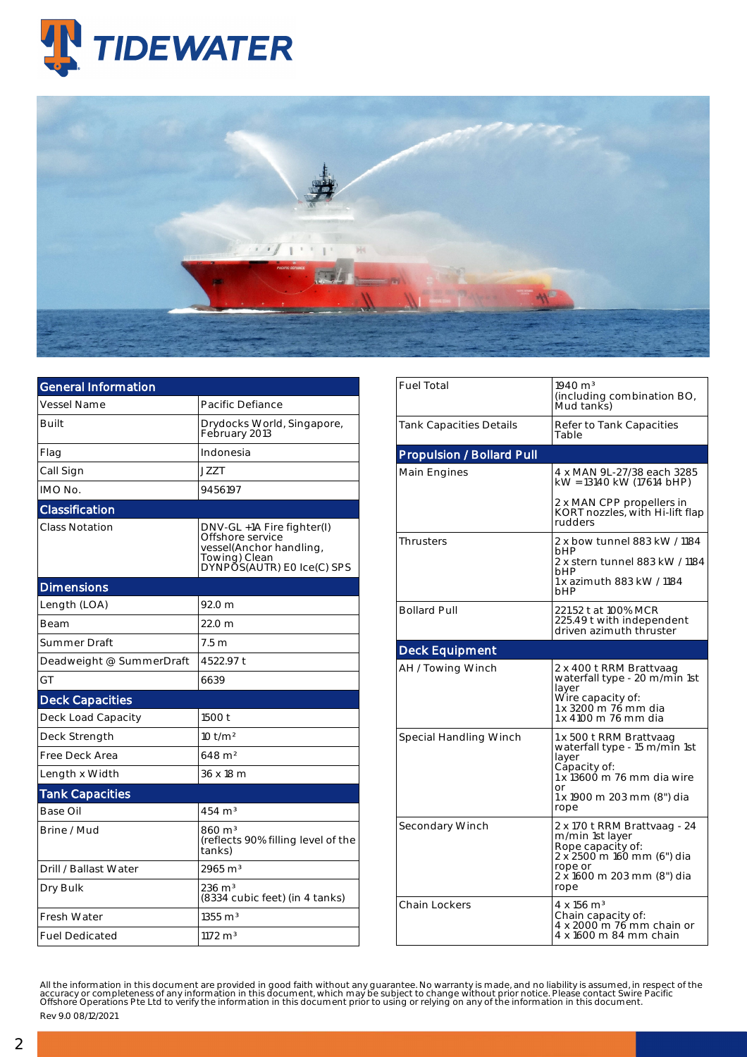



| <b>General Information</b> |                                                                                                                          |
|----------------------------|--------------------------------------------------------------------------------------------------------------------------|
| <b>Vessel Name</b>         | Pacific Defiance                                                                                                         |
| Built                      | Drydocks World, Singapore,<br>February 2013                                                                              |
| Flag                       | Indonesia                                                                                                                |
| Call Sign                  | <b>JZZT</b>                                                                                                              |
| IMO No.                    | 9456197                                                                                                                  |
| Classification             |                                                                                                                          |
| <b>Class Notation</b>      | DNV-GL +1A Fire fighter(I)<br>Offshore service<br>vessel(Anchor handling,<br>Towing) Clean<br>DYNPOS(AUTR) EO Ice(C) SPS |
| <b>Dimensions</b>          |                                                                                                                          |
| Length (LOA)               | 92.0 m                                                                                                                   |
| Beam                       | 22.0 <sub>m</sub>                                                                                                        |
| Summer Draft               | 7.5 <sub>m</sub>                                                                                                         |
| Deadweight @ SummerDraft   | 4522.97 t                                                                                                                |
| GT                         | 6639                                                                                                                     |
| <b>Deck Capacities</b>     |                                                                                                                          |
| Deck Load Capacity         | 1500 t                                                                                                                   |
| Deck Strength              | $10$ t/m <sup>2</sup>                                                                                                    |
| Free Deck Area             | $648 \; \mathrm{m}^2$                                                                                                    |
| Length x Width             | 36 x 18 m                                                                                                                |
| <b>Tank Capacities</b>     |                                                                                                                          |
| Base Oil                   | $454 \; \mathrm{m}^3$                                                                                                    |
| Brine / Mud                | 860 m <sup>3</sup><br>(reflects 90% filling level of the<br>tanks)                                                       |
| Drill / Ballast Water      | 2965 m <sup>3</sup>                                                                                                      |
| Dry Bulk                   | $236 \; \mathrm{m}^3$<br>(8334 cubic feet) (in 4 tanks)                                                                  |
| <b>Fresh Water</b>         | $1355 \text{ m}^3$                                                                                                       |
| <b>Fuel Dedicated</b>      | $1172 \text{ m}^3$                                                                                                       |

| <b>Fuel Total</b>         | $1940 \text{ m}^3$<br>(including combination BO,<br>Mud tanks)                                                                                              |  |  |  |
|---------------------------|-------------------------------------------------------------------------------------------------------------------------------------------------------------|--|--|--|
| Tank Capacities Details   | Refer to Tank Capacities<br>Table                                                                                                                           |  |  |  |
| Propulsion / Bollard Pull |                                                                                                                                                             |  |  |  |
| Main Engines              | 4 x MAN 9L-27/38 each 3285<br>kW = 13140 kW (17614 bHP)                                                                                                     |  |  |  |
|                           | 2 x MAN CPP propellers in<br>KORT nozzles, with Hi-lift flap<br>rudders                                                                                     |  |  |  |
| <b>Thrusters</b>          | 2 x bow tunnel 883 kW / 1184<br>hHP<br>2 x stern tunnel 883 kW / 1184<br>bHP<br>1 x azimuth 883 kW / 1184<br>hHP                                            |  |  |  |
| <b>Bollard Pull</b>       | 221.52 t at 100% MCR<br>225.49 t with independent<br>driven azimuth thruster                                                                                |  |  |  |
| <b>Deck Equipment</b>     |                                                                                                                                                             |  |  |  |
|                           |                                                                                                                                                             |  |  |  |
| AH / Towing Winch         | 2 x 400 t RRM Brattvaag<br>waterfall type - 20 m/min 1st<br>layer<br>Wire capacity of:<br>1 x 3200 m 76 mm dia<br>1 x 4100 m 76 mm dia                      |  |  |  |
| Special Handling Winch    | 1 x 500 t RRM Brattvaag<br>waterfall type - 15 m/min 1st<br>layer<br>Capacity of:<br>1 x 13600 m 76 mm dia wire<br>or<br>1 x 1900 m 203 mm (8") dia<br>rope |  |  |  |
| Secondary Winch           | 2 x 170 t RRM Brattvaag - 24<br>m/min 1st layer<br>Rope capacity of:<br>2 x 2500 m 160 mm (6") dia<br>rope or<br>2 x 1600 m 203 mm (8") dia<br>rope         |  |  |  |

All the information in this document are provided in good faith without any guarantee. No warranty is made, and no liability is assumed, in respect of the<br>accuracy or completeness of any information in this document, which

Rev 9.0 08/12/2021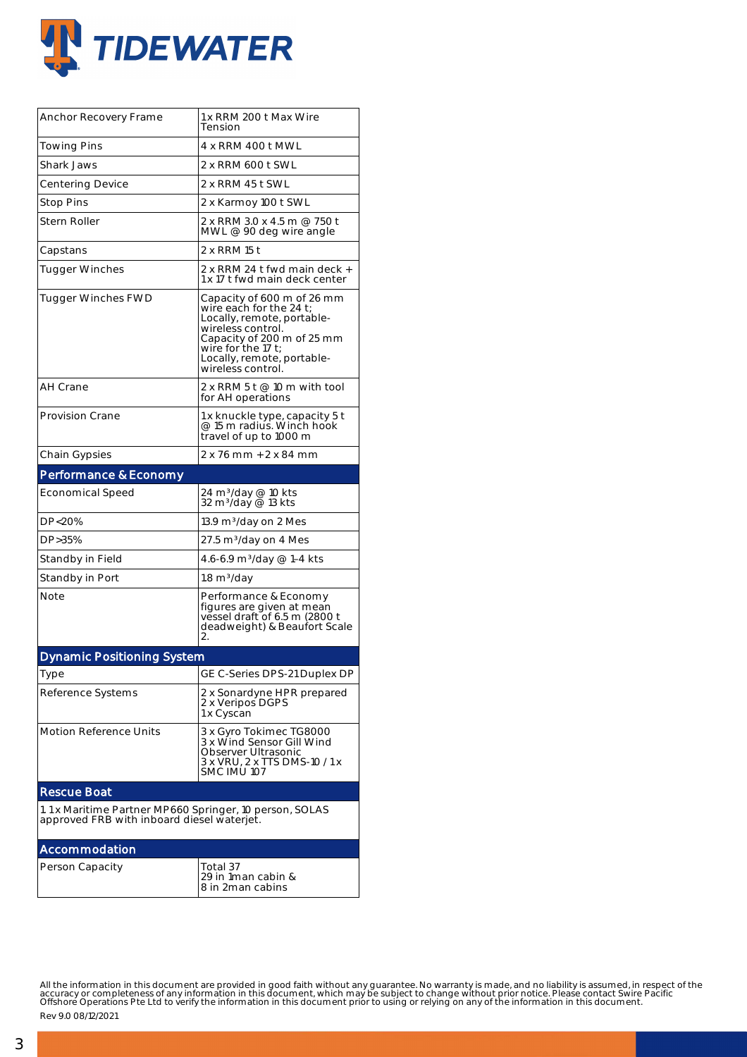

| Anchor Recovery Frame                                                                                 | 1 x RRM 200 t Max Wire<br>Tension                                                                                                                                                                                              |  |  |  |
|-------------------------------------------------------------------------------------------------------|--------------------------------------------------------------------------------------------------------------------------------------------------------------------------------------------------------------------------------|--|--|--|
| Towing Pins                                                                                           | 4 x RRM 400 t MWL                                                                                                                                                                                                              |  |  |  |
| Shark Jaws                                                                                            | 2 x RRM 600 t SWL                                                                                                                                                                                                              |  |  |  |
| Centering Device                                                                                      | 2 x RRM 45 t SWL                                                                                                                                                                                                               |  |  |  |
| Stop Pins                                                                                             | 2 x Karmoy 100 t SWL                                                                                                                                                                                                           |  |  |  |
| Stern Roller                                                                                          | 2 x RRM 3.0 x 4.5 m @ 750 t<br>MWL @ 90 deg wire angle                                                                                                                                                                         |  |  |  |
| Capstans                                                                                              | 2 x RRM 15 t                                                                                                                                                                                                                   |  |  |  |
| Tugger Winches                                                                                        | 2 x RRM 24 t fwd main deck +<br>1 x 17 t fwd main deck center                                                                                                                                                                  |  |  |  |
| <b>Tugger Winches FWD</b>                                                                             | Capacity of 600 m of 26 mm<br>wire each for the 24 $t$ ;<br>Locally, remote, portable-<br>wireless control.<br>Capacity of 200 m of 25 mm<br>wire for the 17 $\mathsf{t}$ :<br>Locally, remote, portable-<br>wireless control. |  |  |  |
| AH Crane                                                                                              | 2 x RRM 5 t $@$ 10 m with tool<br>for AH operations                                                                                                                                                                            |  |  |  |
| <b>Provision Crane</b>                                                                                | 1 x knuckle type, capacity 5 t<br>@ 15 m radius. Winch hook<br>travel of up to 1000 m                                                                                                                                          |  |  |  |
| Chain Gypsies                                                                                         | 2 x 76 mm + 2 x 84 mm                                                                                                                                                                                                          |  |  |  |
| Performance & Economy                                                                                 |                                                                                                                                                                                                                                |  |  |  |
| <b>Economical Speed</b>                                                                               | 24 m <sup>3</sup> /day @ 10 kts<br>32 m <sup>3</sup> /day @ 13 kts                                                                                                                                                             |  |  |  |
| DP<20%                                                                                                | 13.9 m3/day on 2 Mes                                                                                                                                                                                                           |  |  |  |
| DP>35%                                                                                                | 27.5 m3/day on 4 Mes                                                                                                                                                                                                           |  |  |  |
| Standby in Field                                                                                      | 4.6-6.9 m <sup>3</sup> /day @ 1–4 kts                                                                                                                                                                                          |  |  |  |
| Standby in Port                                                                                       | $1.8 \text{ m}^3/\text{day}$                                                                                                                                                                                                   |  |  |  |
| Note                                                                                                  | Performance & Economy<br>figures are given at mean<br>vessel draft of 6.5 m (2800 t<br>deadweight) & Beaufort Scale<br>2.                                                                                                      |  |  |  |
| <b>Dynamic Positioning System</b>                                                                     |                                                                                                                                                                                                                                |  |  |  |
| Type                                                                                                  | GE C-Series DPS-21 Duplex DP                                                                                                                                                                                                   |  |  |  |
| Reference Systems                                                                                     | 2 x Sonardyne HPR prepared<br>2 x Veripos DGPS<br>1 x Cyscan                                                                                                                                                                   |  |  |  |
| <b>Motion Reference Units</b>                                                                         | 3 x Gyro Tokimec TG8000<br>3 x Wind Sensor Gill Wind<br>Observer Ultrasonic<br>3 x VRU, 2 x TTS DMS-10 / 1 x<br>SMC IMU 107                                                                                                    |  |  |  |
| <b>Rescue Boat</b>                                                                                    |                                                                                                                                                                                                                                |  |  |  |
| 1.1 x Maritime Partner MP660 Springer, 10 person, SOLAS<br>approved FRB with inboard diesel waterjet. |                                                                                                                                                                                                                                |  |  |  |
| Accommodation                                                                                         |                                                                                                                                                                                                                                |  |  |  |
| Person Capacity                                                                                       | Total 37<br>29 in 1man cabin &<br>8 in 2man cabins                                                                                                                                                                             |  |  |  |

All the information in this document are provided in good faith without any guarantee. No warranty is made, and no liability is assumed, in respect of the<br>accuracy or completeness of any information in this document, which

Rev 9.0 08/12/2021